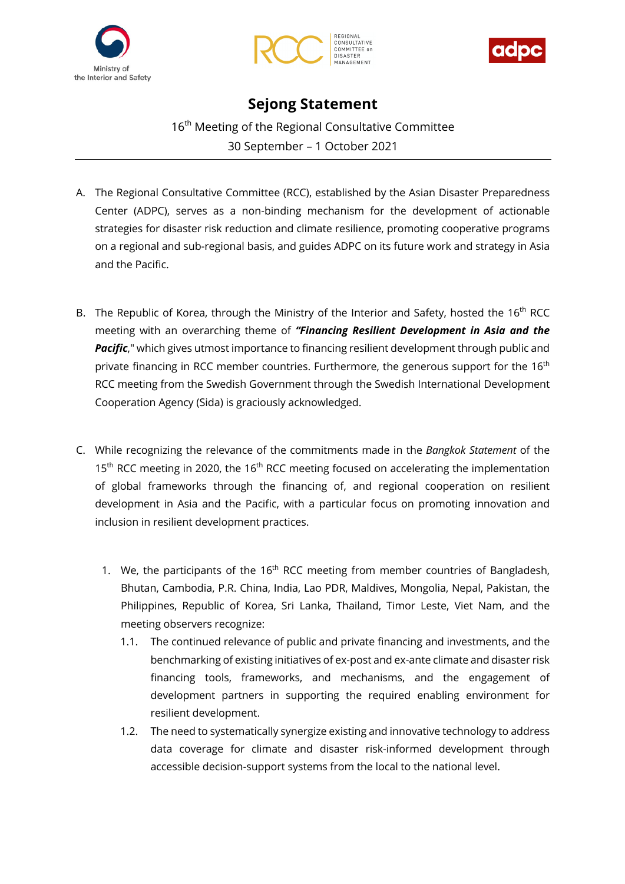





## **Sejong Statement**

16<sup>th</sup> Meeting of the Regional Consultative Committee 30 September – 1 October 2021

- A. The Regional Consultative Committee (RCC), established by the Asian Disaster Preparedness Center (ADPC), serves as a non-binding mechanism for the development of actionable strategies for disaster risk reduction and climate resilience, promoting cooperative programs on a regional and sub-regional basis, and guides ADPC on its future work and strategy in Asia and the Pacific.
- B. The Republic of Korea, through the Ministry of the Interior and Safety, hosted the  $16<sup>th</sup>$  RCC meeting with an overarching theme of *"Financing Resilient Development in Asia and the*  **Pacific**," which gives utmost importance to financing resilient development through public and private financing in RCC member countries. Furthermore, the generous support for the 16<sup>th</sup> RCC meeting from the Swedish Government through the Swedish International Development Cooperation Agency (Sida) is graciously acknowledged.
- C. While recognizing the relevance of the commitments made in the *Bangkok Statement* of the 15<sup>th</sup> RCC meeting in 2020, the 16<sup>th</sup> RCC meeting focused on accelerating the implementation of global frameworks through the financing of, and regional cooperation on resilient development in Asia and the Pacific, with a particular focus on promoting innovation and inclusion in resilient development practices.
	- 1. We, the participants of the  $16<sup>th</sup>$  RCC meeting from member countries of Bangladesh, Bhutan, Cambodia, P.R. China, India, Lao PDR, Maldives, Mongolia, Nepal, Pakistan, the Philippines, Republic of Korea, Sri Lanka, Thailand, Timor Leste, Viet Nam, and the meeting observers recognize:
		- 1.1. The continued relevance of public and private financing and investments, and the benchmarking of existing initiatives of ex-post and ex-ante climate and disaster risk financing tools, frameworks, and mechanisms, and the engagement of development partners in supporting the required enabling environment for resilient development.
		- 1.2. The need to systematically synergize existing and innovative technology to address data coverage for climate and disaster risk-informed development through accessible decision-support systems from the local to the national level.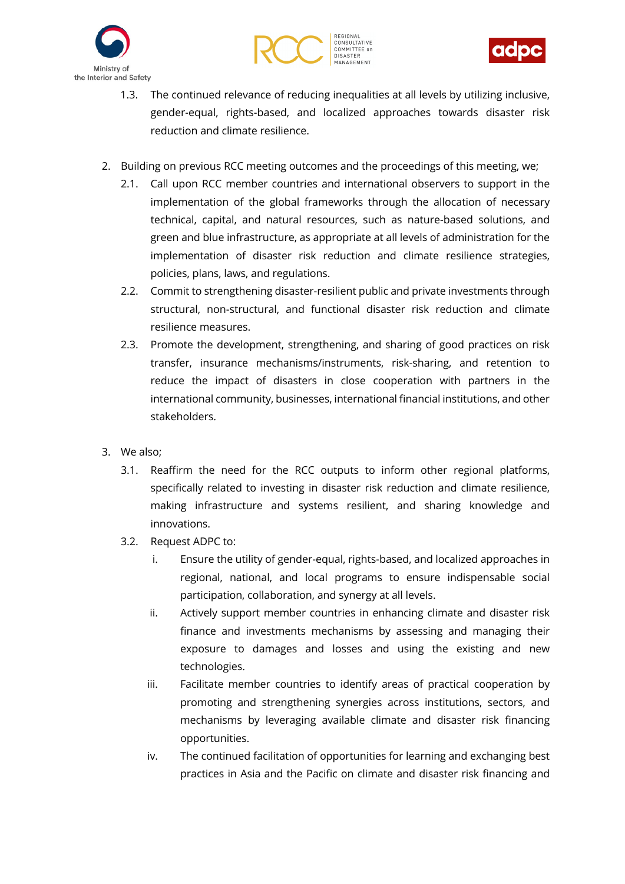





- 1.3. The continued relevance of reducing inequalities at all levels by utilizing inclusive, gender-equal, rights-based, and localized approaches towards disaster risk reduction and climate resilience.
- 2. Building on previous RCC meeting outcomes and the proceedings of this meeting, we;
	- 2.1. Call upon RCC member countries and international observers to support in the implementation of the global frameworks through the allocation of necessary technical, capital, and natural resources, such as nature-based solutions, and green and blue infrastructure, as appropriate at all levels of administration for the implementation of disaster risk reduction and climate resilience strategies, policies, plans, laws, and regulations.
	- 2.2. Commit to strengthening disaster-resilient public and private investments through structural, non-structural, and functional disaster risk reduction and climate resilience measures.
	- 2.3. Promote the development, strengthening, and sharing of good practices on risk transfer, insurance mechanisms/instruments, risk-sharing, and retention to reduce the impact of disasters in close cooperation with partners in the international community, businesses, international financial institutions, and other stakeholders.
- 3. We also;
	- 3.1. Reaffirm the need for the RCC outputs to inform other regional platforms, specifically related to investing in disaster risk reduction and climate resilience, making infrastructure and systems resilient, and sharing knowledge and innovations.
	- 3.2. Request ADPC to:
		- i. Ensure the utility of gender-equal, rights-based, and localized approaches in regional, national, and local programs to ensure indispensable social participation, collaboration, and synergy at all levels.
		- ii. Actively support member countries in enhancing climate and disaster risk finance and investments mechanisms by assessing and managing their exposure to damages and losses and using the existing and new technologies.
		- iii. Facilitate member countries to identify areas of practical cooperation by promoting and strengthening synergies across institutions, sectors, and mechanisms by leveraging available climate and disaster risk financing opportunities.
		- iv. The continued facilitation of opportunities for learning and exchanging best practices in Asia and the Pacific on climate and disaster risk financing and